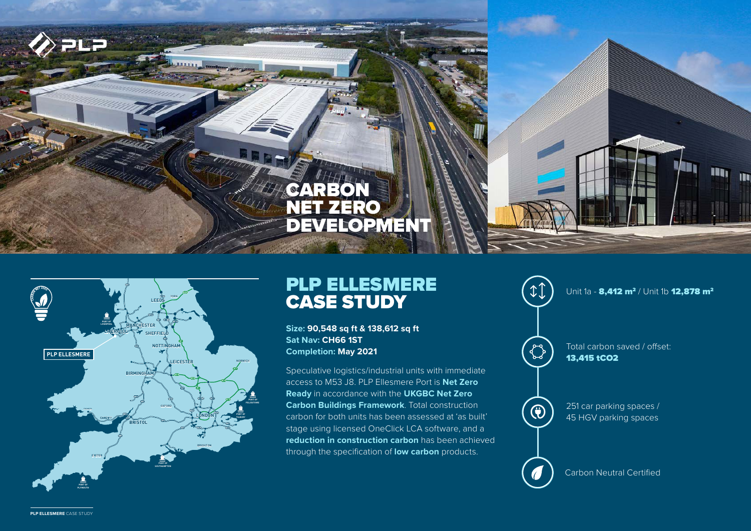## **CARBON<br>NET ZER** ZERO **DEVELOPMENT**



**TYNE**

## PLP ELLESMERE CASE STUDY

**Size: 90,548 sq ft & 138,612 sq ft Sat Nav: CH66 1ST Completion: May 2021**

**A MARKING MANUSIAN CONTROLLER SPACES** Carbon for both units has been assessed at 'as built' VV / 45 HGV parking spaces Speculative logistics/industrial units with immediate access to M53 J8. PLP Ellesmere Port is **Net Zero Ready** in accordance with the **UKGBC Net Zero Carbon Buildings Framework**. Total construction stage using licensed OneClick LCA software, and a **reduction in construction carbon** has been achieved through the specification of **low carbon** products.